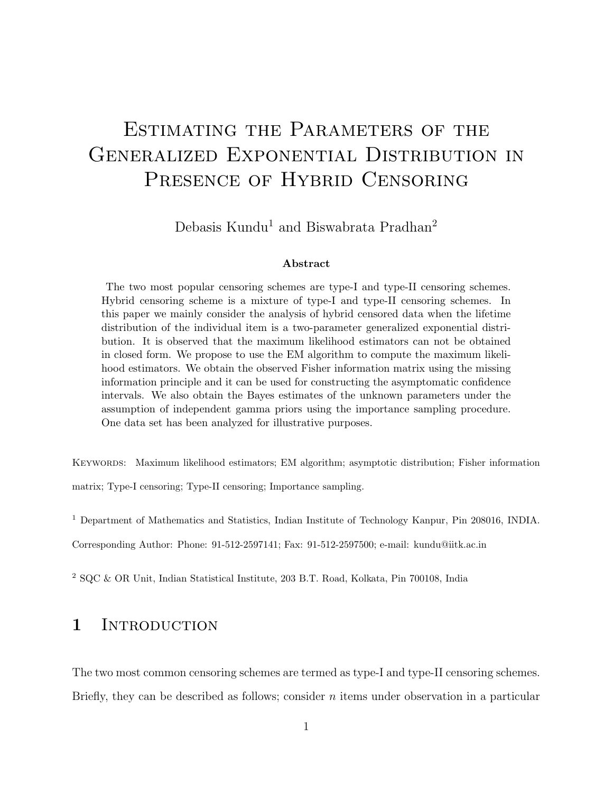# ESTIMATING THE PARAMETERS OF THE Generalized Exponential Distribution in PRESENCE OF HYBRID CENSORING

Debasis Kundu<sup>1</sup> and Biswabrata Pradhan<sup>2</sup>

#### Abstract

The two most popular censoring schemes are type-I and type-II censoring schemes. Hybrid censoring scheme is a mixture of type-I and type-II censoring schemes. In this paper we mainly consider the analysis of hybrid censored data when the lifetime distribution of the individual item is a two-parameter generalized exponential distribution. It is observed that the maximum likelihood estimators can not be obtained in closed form. We propose to use the EM algorithm to compute the maximum likelihood estimators. We obtain the observed Fisher information matrix using the missing information principle and it can be used for constructing the asymptomatic confidence intervals. We also obtain the Bayes estimates of the unknown parameters under the assumption of independent gamma priors using the importance sampling procedure. One data set has been analyzed for illustrative purposes.

Keywords: Maximum likelihood estimators; EM algorithm; asymptotic distribution; Fisher information

matrix; Type-I censoring; Type-II censoring; Importance sampling.

<sup>1</sup> Department of Mathematics and Statistics, Indian Institute of Technology Kanpur, Pin 208016, INDIA.

Corresponding Author: Phone: 91-512-2597141; Fax: 91-512-2597500; e-mail: kundu@iitk.ac.in

<sup>2</sup> SQC & OR Unit, Indian Statistical Institute, 203 B.T. Road, Kolkata, Pin 700108, India

#### 1 INTRODUCTION

The two most common censoring schemes are termed as type-I and type-II censoring schemes. Briefly, they can be described as follows; consider  $n$  items under observation in a particular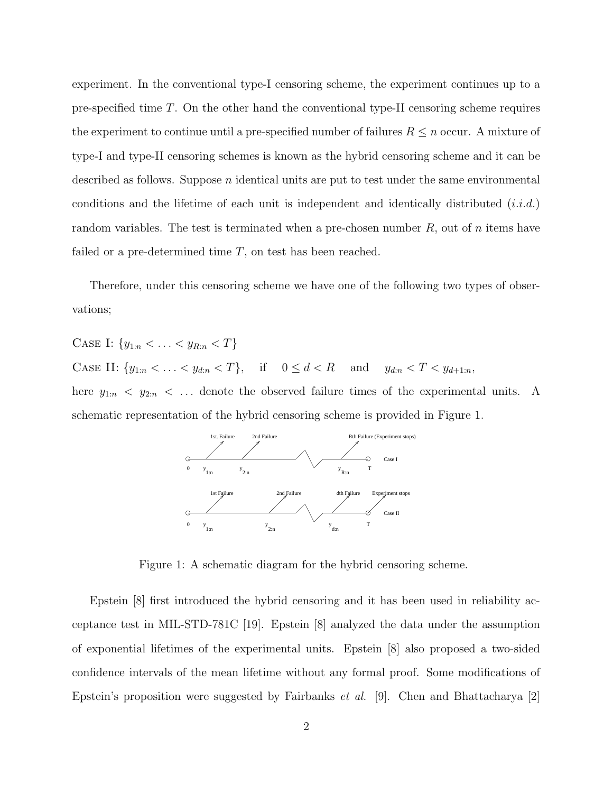experiment. In the conventional type-I censoring scheme, the experiment continues up to a pre-specified time T. On the other hand the conventional type-II censoring scheme requires the experiment to continue until a pre-specified number of failures  $R \leq n$  occur. A mixture of type-I and type-II censoring schemes is known as the hybrid censoring scheme and it can be described as follows. Suppose  $n$  identical units are put to test under the same environmental conditions and the lifetime of each unit is independent and identically distributed  $(i.i.d.)$ random variables. The test is terminated when a pre-chosen number  $R$ , out of  $n$  items have failed or a pre-determined time  $T$ , on test has been reached.

Therefore, under this censoring scheme we have one of the following two types of observations;

CASE I:  $\{y_{1:n} < \ldots < y_{R:n} < T\}$ CASE II:  $\{y_{1:n} < \ldots < y_{d:n} < T\}$ , if  $0 \le d < R$  and  $y_{d:n} < T < y_{d+1:n}$ , here  $y_{1:n} \leq y_{2:n} \leq \ldots$  denote the observed failure times of the experimental units. A schematic representation of the hybrid censoring scheme is provided in Figure 1.



Figure 1: A schematic diagram for the hybrid censoring scheme.

Epstein [8] first introduced the hybrid censoring and it has been used in reliability acceptance test in MIL-STD-781C [19]. Epstein [8] analyzed the data under the assumption of exponential lifetimes of the experimental units. Epstein [8] also proposed a two-sided confidence intervals of the mean lifetime without any formal proof. Some modifications of Epstein's proposition were suggested by Fairbanks *et al.* [9]. Chen and Bhattacharya [2]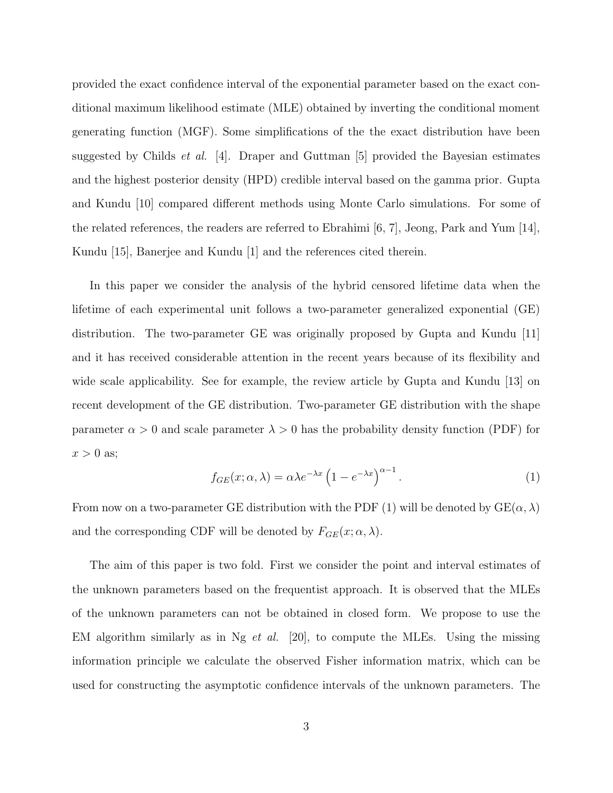provided the exact confidence interval of the exponential parameter based on the exact conditional maximum likelihood estimate (MLE) obtained by inverting the conditional moment generating function (MGF). Some simplifications of the the exact distribution have been suggested by Childs *et al.* [4]. Draper and Guttman [5] provided the Bayesian estimates and the highest posterior density (HPD) credible interval based on the gamma prior. Gupta and Kundu [10] compared different methods using Monte Carlo simulations. For some of the related references, the readers are referred to Ebrahimi [6, 7], Jeong, Park and Yum [14], Kundu [15], Banerjee and Kundu [1] and the references cited therein.

In this paper we consider the analysis of the hybrid censored lifetime data when the lifetime of each experimental unit follows a two-parameter generalized exponential (GE) distribution. The two-parameter GE was originally proposed by Gupta and Kundu [11] and it has received considerable attention in the recent years because of its flexibility and wide scale applicability. See for example, the review article by Gupta and Kundu [13] on recent development of the GE distribution. Two-parameter GE distribution with the shape parameter  $\alpha > 0$  and scale parameter  $\lambda > 0$  has the probability density function (PDF) for  $x > 0$  as;

$$
f_{GE}(x; \alpha, \lambda) = \alpha \lambda e^{-\lambda x} \left( 1 - e^{-\lambda x} \right)^{\alpha - 1}.
$$
 (1)

From now on a two-parameter GE distribution with the PDF (1) will be denoted by  $GE(\alpha, \lambda)$ and the corresponding CDF will be denoted by  $F_{GE}(x; \alpha, \lambda)$ .

The aim of this paper is two fold. First we consider the point and interval estimates of the unknown parameters based on the frequentist approach. It is observed that the MLEs of the unknown parameters can not be obtained in closed form. We propose to use the EM algorithm similarly as in Ng *et al.* [20], to compute the MLEs. Using the missing information principle we calculate the observed Fisher information matrix, which can be used for constructing the asymptotic confidence intervals of the unknown parameters. The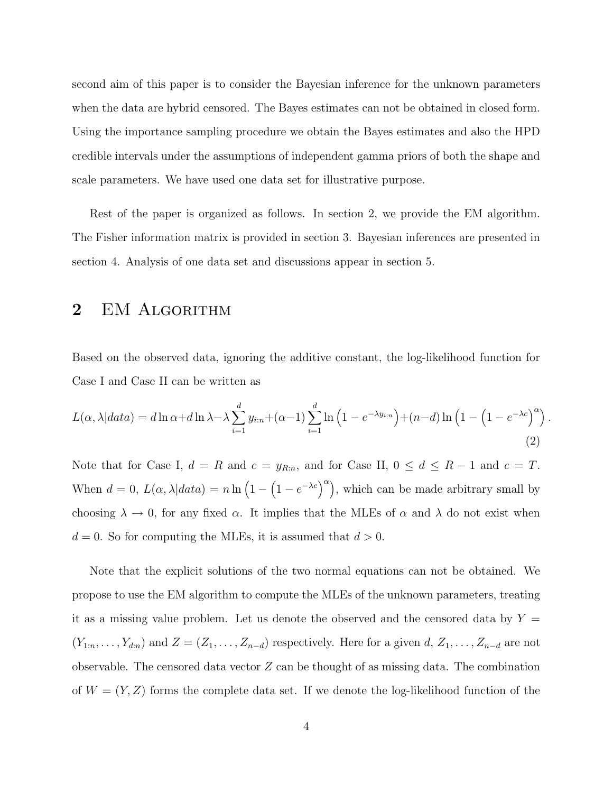second aim of this paper is to consider the Bayesian inference for the unknown parameters when the data are hybrid censored. The Bayes estimates can not be obtained in closed form. Using the importance sampling procedure we obtain the Bayes estimates and also the HPD credible intervals under the assumptions of independent gamma priors of both the shape and scale parameters. We have used one data set for illustrative purpose.

Rest of the paper is organized as follows. In section 2, we provide the EM algorithm. The Fisher information matrix is provided in section 3. Bayesian inferences are presented in section 4. Analysis of one data set and discussions appear in section 5.

#### 2 EM ALGORITHM

Based on the observed data, ignoring the additive constant, the log-likelihood function for Case I and Case II can be written as

$$
L(\alpha, \lambda|data) = d \ln \alpha + d \ln \lambda - \lambda \sum_{i=1}^{d} y_{i:n} + (\alpha - 1) \sum_{i=1}^{d} \ln \left( 1 - e^{-\lambda y_{i:n}} \right) + (n - d) \ln \left( 1 - \left( 1 - e^{-\lambda c} \right)^{\alpha} \right). \tag{2}
$$

Note that for Case I,  $d = R$  and  $c = y_{R:n}$ , and for Case II,  $0 \le d \le R-1$  and  $c = T$ . When  $d = 0$ ,  $L(\alpha, \lambda|data) = n \ln (1 - (1 - e^{-\lambda c})^{\alpha})$ , which can be made arbitrary small by choosing  $\lambda \to 0$ , for any fixed  $\alpha$ . It implies that the MLEs of  $\alpha$  and  $\lambda$  do not exist when  $d = 0$ . So for computing the MLEs, it is assumed that  $d > 0$ .

Note that the explicit solutions of the two normal equations can not be obtained. We propose to use the EM algorithm to compute the MLEs of the unknown parameters, treating it as a missing value problem. Let us denote the observed and the censored data by  $Y =$  $(Y_{1:n},\ldots,Y_{d:n})$  and  $Z=(Z_1,\ldots,Z_{n-d})$  respectively. Here for a given  $d, Z_1,\ldots,Z_{n-d}$  are not observable. The censored data vector  $Z$  can be thought of as missing data. The combination of  $W = (Y, Z)$  forms the complete data set. If we denote the log-likelihood function of the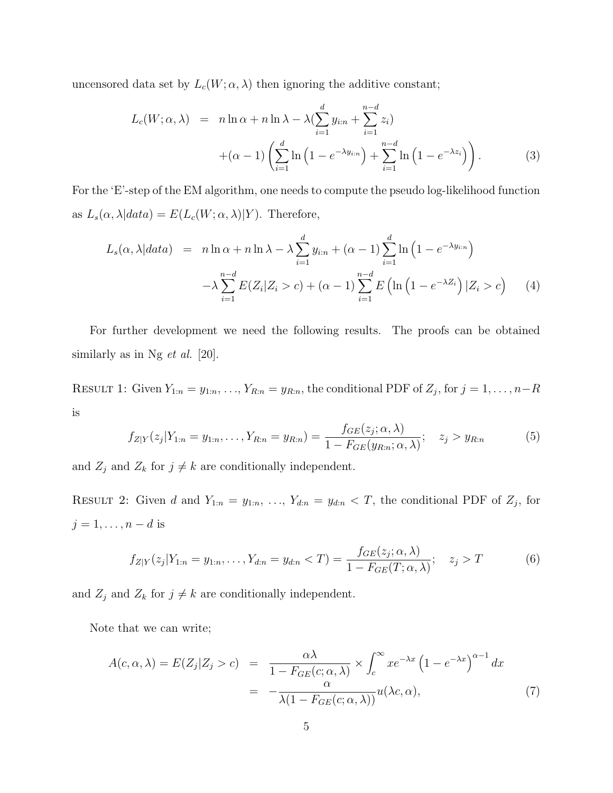uncensored data set by  $L_c(W; \alpha, \lambda)$  then ignoring the additive constant;

$$
L_c(W; \alpha, \lambda) = n \ln \alpha + n \ln \lambda - \lambda \left( \sum_{i=1}^d y_{i:n} + \sum_{i=1}^{n-d} z_i \right)
$$
  
 
$$
+ (\alpha - 1) \left( \sum_{i=1}^d \ln \left( 1 - e^{-\lambda y_{i:n}} \right) + \sum_{i=1}^{n-d} \ln \left( 1 - e^{-\lambda z_i} \right) \right).
$$
 (3)

For the 'E'-step of the EM algorithm, one needs to compute the pseudo log-likelihood function as  $L_s(\alpha, \lambda | data) = E(L_c(W; \alpha, \lambda) | Y)$ . Therefore,

$$
L_s(\alpha, \lambda|data) = n \ln \alpha + n \ln \lambda - \lambda \sum_{i=1}^d y_{i:n} + (\alpha - 1) \sum_{i=1}^d \ln \left( 1 - e^{-\lambda y_{i:n}} \right)
$$

$$
-\lambda \sum_{i=1}^{n-d} E(Z_i|Z_i > c) + (\alpha - 1) \sum_{i=1}^{n-d} E\left( \ln \left( 1 - e^{-\lambda Z_i} \right) | Z_i > c \right) \tag{4}
$$

For further development we need the following results. The proofs can be obtained similarly as in Ng  $et \ al.$  [20].

RESULT 1: Given  $Y_{1:n} = y_{1:n}, \ldots, Y_{R:n} = y_{R:n}$ , the conditional PDF of  $Z_j$ , for  $j = 1, \ldots, n-R$ is

$$
f_{Z|Y}(z_j|Y_{1:n}=y_{1:n},\ldots,Y_{R:n}=y_{R:n})=\frac{f_{GE}(z_j;\alpha,\lambda)}{1-F_{GE}(y_{R:n};\alpha,\lambda)};\quad z_j>y_{R:n}
$$
(5)

and  $Z_j$  and  $Z_k$  for  $j \neq k$  are conditionally independent.

RESULT 2: Given d and  $Y_{1:n} = y_{1:n}, \ldots, Y_{d:n} = y_{d:n} < T$ , the conditional PDF of  $Z_j$ , for  $j = 1, \ldots, n - d$  is

$$
f_{Z|Y}(z_j|Y_{1:n} = y_{1:n}, \dots, Y_{d:n} = y_{d:n} < T) = \frac{f_{GE}(z_j; \alpha, \lambda)}{1 - F_{GE}(T; \alpha, \lambda)}; \quad z_j > T \tag{6}
$$

and  $Z_j$  and  $Z_k$  for  $j \neq k$  are conditionally independent.

Note that we can write;

$$
A(c, \alpha, \lambda) = E(Z_j | Z_j > c) = \frac{\alpha \lambda}{1 - F_{GE}(c; \alpha, \lambda)} \times \int_c^{\infty} x e^{-\lambda x} (1 - e^{-\lambda x})^{\alpha - 1} dx
$$
  

$$
= -\frac{\alpha}{\lambda (1 - F_{GE}(c; \alpha, \lambda))} u(\lambda c, \alpha), \tag{7}
$$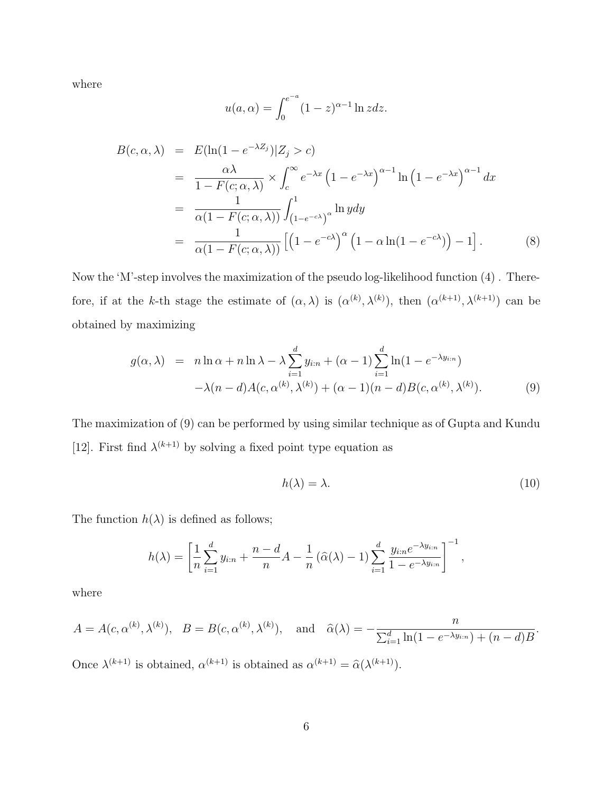where

$$
u(a,\alpha) = \int_0^{e^{-a}} (1-z)^{\alpha-1} \ln z dz.
$$

$$
B(c, \alpha, \lambda) = E(\ln(1 - e^{-\lambda Z_j}) | Z_j > c)
$$
  
= 
$$
\frac{\alpha \lambda}{1 - F(c; \alpha, \lambda)} \times \int_c^{\infty} e^{-\lambda x} (1 - e^{-\lambda x})^{\alpha - 1} \ln(1 - e^{-\lambda x})^{\alpha - 1} dx
$$
  
= 
$$
\frac{1}{\alpha(1 - F(c; \alpha, \lambda))} \int_{(1 - e^{-c\lambda})}^{1} \ln y dy
$$
  
= 
$$
\frac{1}{\alpha(1 - F(c; \alpha, \lambda))} [(1 - e^{-c\lambda})^{\alpha} (1 - \alpha \ln(1 - e^{-c\lambda})) - 1].
$$
 (8)

Now the 'M'-step involves the maximization of the pseudo log-likelihood function (4) . Therefore, if at the k-th stage the estimate of  $(\alpha, \lambda)$  is  $(\alpha^{(k)}, \lambda^{(k)})$ , then  $(\alpha^{(k+1)}, \lambda^{(k+1)})$  can be obtained by maximizing

$$
g(\alpha, \lambda) = n \ln \alpha + n \ln \lambda - \lambda \sum_{i=1}^{d} y_{i:n} + (\alpha - 1) \sum_{i=1}^{d} \ln(1 - e^{-\lambda y_{i:n}})
$$

$$
-\lambda (n - d) A(c, \alpha^{(k)}, \lambda^{(k)}) + (\alpha - 1)(n - d) B(c, \alpha^{(k)}, \lambda^{(k)}).
$$
(9)

The maximization of (9) can be performed by using similar technique as of Gupta and Kundu [12]. First find  $\lambda^{(k+1)}$  by solving a fixed point type equation as

$$
h(\lambda) = \lambda. \tag{10}
$$

The function  $h(\lambda)$  is defined as follows;

$$
h(\lambda) = \left[\frac{1}{n}\sum_{i=1}^d y_{i:n} + \frac{n-d}{n}A - \frac{1}{n}(\widehat{\alpha}(\lambda) - 1)\sum_{i=1}^d \frac{y_{i:n}e^{-\lambda y_{i:n}}}{1 - e^{-\lambda y_{i:n}}}\right]^{-1},
$$

where

$$
A = A(c, \alpha^{(k)}, \lambda^{(k)}), B = B(c, \alpha^{(k)}, \lambda^{(k)}), \text{ and } \hat{\alpha}(\lambda) = -\frac{n}{\sum_{i=1}^{d} \ln(1 - e^{-\lambda y_{i:n}}) + (n - d)B}.
$$

Once  $\lambda^{(k+1)}$  is obtained,  $\alpha^{(k+1)}$  is obtained as  $\alpha^{(k+1)} = \hat{\alpha}(\lambda^{(k+1)})$ .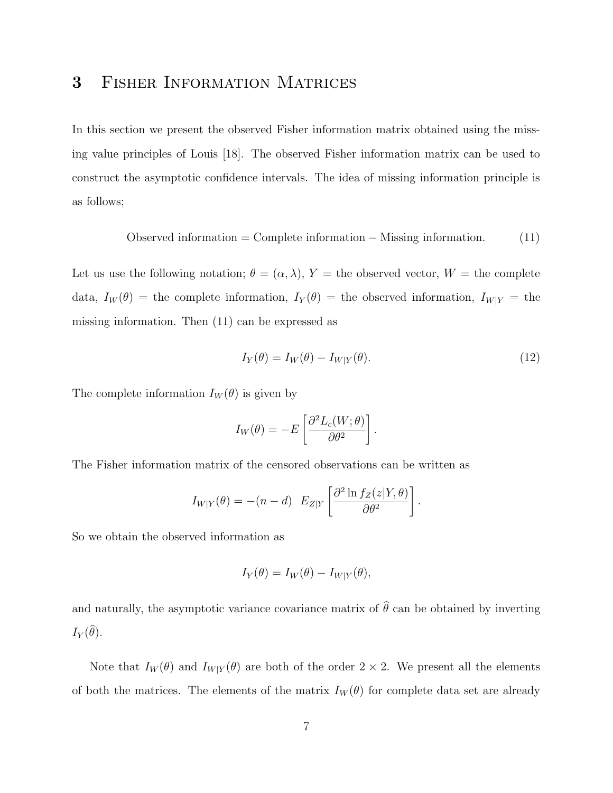#### 3 Fisher Information Matrices

In this section we present the observed Fisher information matrix obtained using the missing value principles of Louis [18]. The observed Fisher information matrix can be used to construct the asymptotic confidence intervals. The idea of missing information principle is as follows;

$$
Observed information = Complete information - Mississippi information.
$$
 (11)

Let us use the following notation;  $\theta = (\alpha, \lambda), Y =$  the observed vector,  $W =$  the complete data,  $I_W(\theta)$  = the complete information,  $I_Y(\theta)$  = the observed information,  $I_{W|Y}$  = the missing information. Then (11) can be expressed as

$$
I_Y(\theta) = I_W(\theta) - I_{W|Y}(\theta). \tag{12}
$$

The complete information  $I_W(\theta)$  is given by

$$
I_W(\theta) = -E\left[\frac{\partial^2 L_c(W; \theta)}{\partial \theta^2}\right].
$$

The Fisher information matrix of the censored observations can be written as

$$
I_{W|Y}(\theta) = -(n-d) E_{Z|Y} \left[ \frac{\partial^2 \ln f_Z(z|Y,\theta)}{\partial \theta^2} \right].
$$

So we obtain the observed information as

$$
I_Y(\theta) = I_W(\theta) - I_{W|Y}(\theta),
$$

and naturally, the asymptotic variance covariance matrix of  $\hat{\theta}$  can be obtained by inverting  $I_Y(\theta)$ .

Note that  $I_W(\theta)$  and  $I_{W|Y}(\theta)$  are both of the order  $2 \times 2$ . We present all the elements of both the matrices. The elements of the matrix  $I_W(\theta)$  for complete data set are already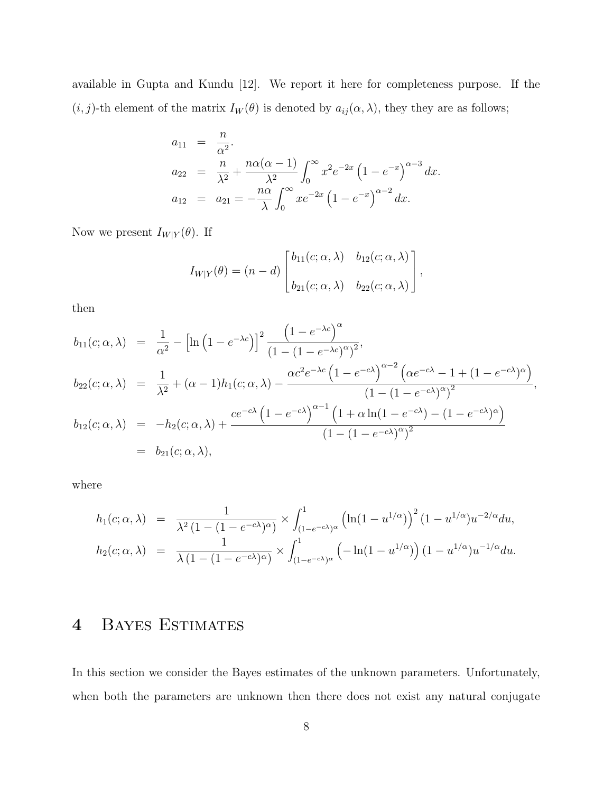available in Gupta and Kundu [12]. We report it here for completeness purpose. If the  $(i, j)$ -th element of the matrix  $I_W(\theta)$  is denoted by  $a_{ij}(\alpha, \lambda)$ , they they are as follows;

$$
a_{11} = \frac{n}{\alpha^2}.
$$
  
\n
$$
a_{22} = \frac{n}{\lambda^2} + \frac{n\alpha(\alpha - 1)}{\lambda^2} \int_0^\infty x^2 e^{-2x} (1 - e^{-x})^{\alpha - 3} dx.
$$
  
\n
$$
a_{12} = a_{21} = -\frac{n\alpha}{\lambda} \int_0^\infty x e^{-2x} (1 - e^{-x})^{\alpha - 2} dx.
$$

Now we present  $I_{W|Y}(\theta).$  If

$$
I_{W|Y}(\theta) = (n-d) \begin{bmatrix} b_{11}(c; \alpha, \lambda) & b_{12}(c; \alpha, \lambda) \\ b_{21}(c; \alpha, \lambda) & b_{22}(c; \alpha, \lambda) \end{bmatrix},
$$

then

$$
b_{11}(c; \alpha, \lambda) = \frac{1}{\alpha^2} - \left[\ln(1 - e^{-\lambda c})\right]^2 \frac{\left(1 - e^{-\lambda c}\right)^{\alpha}}{\left(1 - (1 - e^{-\lambda c})^{\alpha}\right)^2},
$$
  
\n
$$
b_{22}(c; \alpha, \lambda) = \frac{1}{\lambda^2} + (\alpha - 1)h_1(c; \alpha, \lambda) - \frac{\alpha c^2 e^{-\lambda c} \left(1 - e^{-c\lambda}\right)^{\alpha - 2} \left(\alpha e^{-c\lambda} - 1 + (1 - e^{-c\lambda})^{\alpha}\right)}{\left(1 - (1 - e^{-c\lambda})^{\alpha}\right)^2},
$$
  
\n
$$
b_{12}(c; \alpha, \lambda) = -h_2(c; \alpha, \lambda) + \frac{ce^{-c\lambda} \left(1 - e^{-c\lambda}\right)^{\alpha - 1} \left(1 + \alpha \ln(1 - e^{-c\lambda}) - (1 - e^{-c\lambda})^{\alpha}\right)}{\left(1 - (1 - e^{-c\lambda})^{\alpha}\right)^2}
$$
  
\n
$$
= b_{21}(c; \alpha, \lambda),
$$

where

$$
h_1(c; \alpha, \lambda) = \frac{1}{\lambda^2 (1 - (1 - e^{-c\lambda})^{\alpha})} \times \int_{(1 - e^{-c\lambda})^{\alpha}}^1 (\ln(1 - u^{1/\alpha}))^2 (1 - u^{1/\alpha}) u^{-2/\alpha} du,
$$
  

$$
h_2(c; \alpha, \lambda) = \frac{1}{\lambda (1 - (1 - e^{-c\lambda})^{\alpha})} \times \int_{(1 - e^{-c\lambda})^{\alpha}}^1 (-\ln(1 - u^{1/\alpha})) (1 - u^{1/\alpha}) u^{-1/\alpha} du.
$$

## 4 Bayes Estimates

In this section we consider the Bayes estimates of the unknown parameters. Unfortunately, when both the parameters are unknown then there does not exist any natural conjugate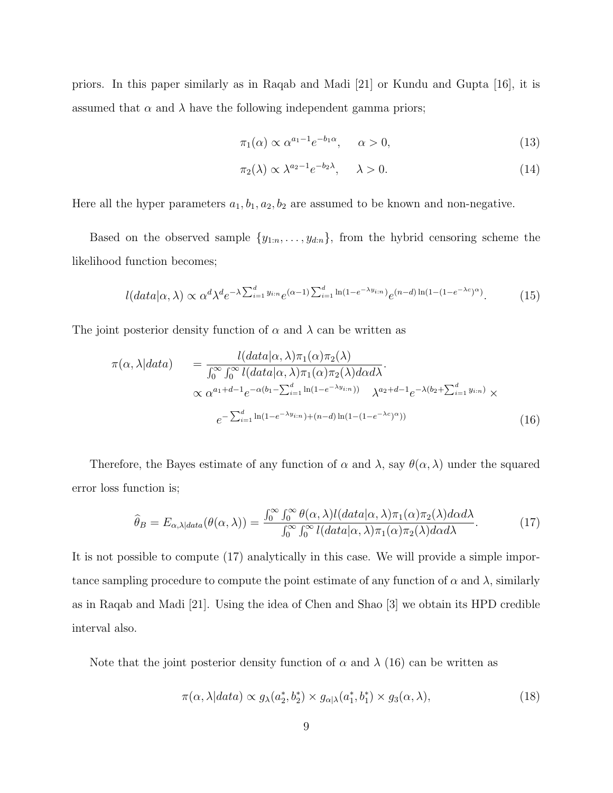priors. In this paper similarly as in Raqab and Madi [21] or Kundu and Gupta [16], it is assumed that  $\alpha$  and  $\lambda$  have the following independent gamma priors;

$$
\pi_1(\alpha) \propto \alpha^{a_1 - 1} e^{-b_1 \alpha}, \qquad \alpha > 0,
$$
\n(13)

$$
\pi_2(\lambda) \propto \lambda^{a_2 - 1} e^{-b_2 \lambda}, \quad \lambda > 0.
$$
\n(14)

Here all the hyper parameters  $a_1, b_1, a_2, b_2$  are assumed to be known and non-negative.

Based on the observed sample  $\{y_{1:n}, \ldots, y_{dn}\}$ , from the hybrid censoring scheme the likelihood function becomes;

$$
l(data|\alpha,\lambda) \propto \alpha^d \lambda^d e^{-\lambda \sum_{i=1}^d y_{i:n}} e^{(\alpha-1) \sum_{i=1}^d \ln(1 - e^{-\lambda y_{i:n}})} e^{(n-d)\ln(1 - (1 - e^{-\lambda c})^{\alpha})}.
$$
 (15)

The joint posterior density function of  $\alpha$  and  $\lambda$  can be written as

$$
\pi(\alpha, \lambda|data) = \frac{l(data|\alpha, \lambda)\pi_1(\alpha)\pi_2(\lambda)}{\int_0^\infty \int_0^\infty l(data|\alpha, \lambda)\pi_1(\alpha)\pi_2(\lambda)d\alpha d\lambda}.
$$
  

$$
\propto \alpha^{a_1+d-1}e^{-\alpha(b_1-\sum_{i=1}^d \ln(1-e^{-\lambda y_{i:n}}))} \lambda^{a_2+d-1}e^{-\lambda(b_2+\sum_{i=1}^d y_{i:n})} \times
$$
  

$$
e^{-\sum_{i=1}^d \ln(1-e^{-\lambda y_{i:n}})+(n-d)\ln(1-(1-e^{-\lambda c})^{\alpha})}
$$
\n(16)

Therefore, the Bayes estimate of any function of  $\alpha$  and  $\lambda$ , say  $\theta(\alpha, \lambda)$  under the squared error loss function is;

$$
\widehat{\theta}_B = E_{\alpha,\lambda|data}(\theta(\alpha,\lambda)) = \frac{\int_0^\infty \int_0^\infty \theta(\alpha,\lambda) l(data|\alpha,\lambda) \pi_1(\alpha) \pi_2(\lambda) d\alpha d\lambda}{\int_0^\infty \int_0^\infty l(data|\alpha,\lambda) \pi_1(\alpha) \pi_2(\lambda) d\alpha d\lambda}.
$$
(17)

It is not possible to compute (17) analytically in this case. We will provide a simple importance sampling procedure to compute the point estimate of any function of  $\alpha$  and  $\lambda$ , similarly as in Raqab and Madi [21]. Using the idea of Chen and Shao [3] we obtain its HPD credible interval also.

Note that the joint posterior density function of  $\alpha$  and  $\lambda$  (16) can be written as

$$
\pi(\alpha, \lambda | data) \propto g_{\lambda}(a_2^*, b_2^*) \times g_{\alpha | \lambda}(a_1^*, b_1^*) \times g_3(\alpha, \lambda), \tag{18}
$$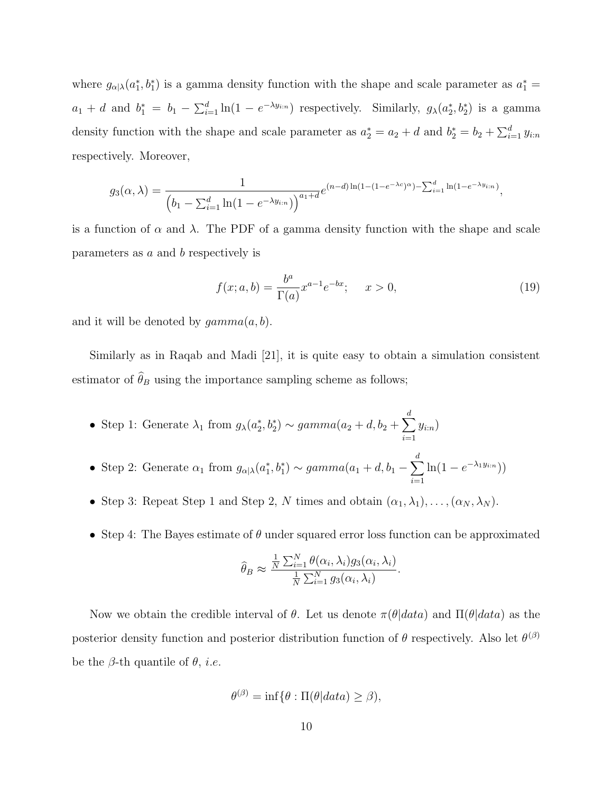where  $g_{\alpha|\lambda}(a_1^*, b_1^*)$  is a gamma density function with the shape and scale parameter as  $a_1^* =$  $a_1 + d$  and  $b_1^* = b_1 - \sum_{i=1}^d \ln(1 - e^{-\lambda y_{i:n}})$  respectively. Similarly,  $g_\lambda(a_2^*, b_2^*)$  is a gamma density function with the shape and scale parameter as  $a_2^* = a_2 + d$  and  $b_2^* = b_2 + \sum_{i=1}^d y_{i:n}$ respectively. Moreover,

$$
g_3(\alpha, \lambda) = \frac{1}{\left(b_1 - \sum_{i=1}^d \ln(1 - e^{-\lambda y_{i:n}})\right)^{a_1 + d}} e^{(n-d)\ln(1 - (1 - e^{-\lambda c})^{\alpha}) - \sum_{i=1}^d \ln(1 - e^{-\lambda y_{i:n}})},
$$

is a function of  $\alpha$  and  $\lambda$ . The PDF of a gamma density function with the shape and scale parameters as a and b respectively is

$$
f(x;a,b) = \frac{b^a}{\Gamma(a)} x^{a-1} e^{-bx}; \quad x > 0,
$$
\n(19)

and it will be denoted by  $qamma(a, b)$ .

Similarly as in Raqab and Madi [21], it is quite easy to obtain a simulation consistent estimator of  $\widehat{\theta}_B$  using the importance sampling scheme as follows;

- Step 1: Generate  $\lambda_1$  from  $g_{\lambda}(a_2^*, b_2^*) \sim gamma(a_2 + d, b_2 + \sum^d$  $i=1$  $y_{i:n})$
- Step 2: Generate  $\alpha_1$  from  $g_{\alpha|\lambda}(a_1^*,b_1^*) \sim gamma(a_1+d, b_1-\sum_{i=1}^d a_i)$  $i=1$  $\ln(1 - e^{-\lambda_1 y_{i:n}})$
- Step 3: Repeat Step 1 and Step 2, N times and obtain  $(\alpha_1, \lambda_1), \ldots, (\alpha_N, \lambda_N)$ .
- Step 4: The Bayes estimate of  $\theta$  under squared error loss function can be approximated

$$
\widehat{\theta}_B \approx \frac{\frac{1}{N} \sum_{i=1}^N \theta(\alpha_i, \lambda_i) g_3(\alpha_i, \lambda_i)}{\frac{1}{N} \sum_{i=1}^N g_3(\alpha_i, \lambda_i)}.
$$

Now we obtain the credible interval of  $\theta$ . Let us denote  $\pi(\theta|data)$  and  $\Pi(\theta|data)$  as the posterior density function and posterior distribution function of  $\theta$  respectively. Also let  $\theta^{(\beta)}$ be the  $\beta$ -th quantile of  $\theta$ , *i.e.* 

$$
\theta^{(\beta)} = \inf \{ \theta : \Pi(\theta | data) \ge \beta \},\
$$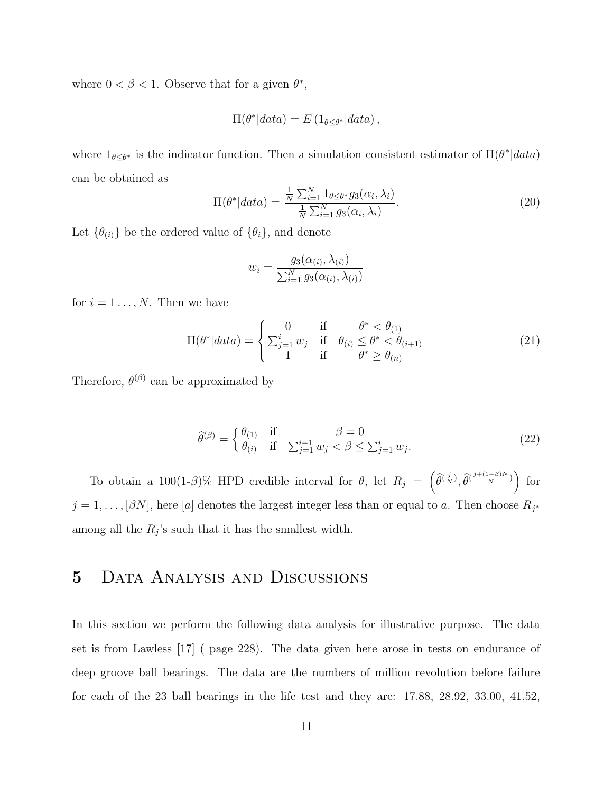where  $0 < \beta < 1$ . Observe that for a given  $\theta^*$ ,

$$
\Pi(\theta^*|data) = E\left(1_{\theta \leq \theta^*}|data\right),\,
$$

where  $1_{\theta \leq \theta^*}$  is the indicator function. Then a simulation consistent estimator of  $\Pi(\theta^*|data)$ can be obtained as

$$
\Pi(\theta^*|data) = \frac{\frac{1}{N} \sum_{i=1}^{N} 1_{\theta \le \theta^*} g_3(\alpha_i, \lambda_i)}{\frac{1}{N} \sum_{i=1}^{N} g_3(\alpha_i, \lambda_i)}.
$$
\n(20)

Let  $\{\theta_{(i)}\}$  be the ordered value of  $\{\theta_i\}$ , and denote

$$
w_i = \frac{g_3(\alpha_{(i)}, \lambda_{(i)})}{\sum_{i=1}^N g_3(\alpha_{(i)}, \lambda_{(i)})}
$$

for  $i = 1 \ldots, N$ . Then we have

$$
\Pi(\theta^*|data) = \begin{cases}\n0 & \text{if } \theta^* < \theta_{(1)} \\
\sum_{j=1}^i w_j & \text{if } \theta_{(i)} \le \theta^* < \theta_{(i+1)} \\
1 & \text{if } \theta^* \ge \theta_{(n)}\n\end{cases}
$$
\n(21)

Therefore,  $\theta^{(\beta)}$  can be approximated by

$$
\widehat{\theta}^{(\beta)} = \begin{cases} \theta_{(1)} & \text{if } \beta = 0\\ \theta_{(i)} & \text{if } \sum_{j=1}^{i-1} w_j < \beta \le \sum_{j=1}^i w_j. \end{cases} \tag{22}
$$

To obtain a 100(1-β)% HPD credible interval for  $\theta$ , let  $R_j = \left(\widehat{\theta}^{(\frac{j}{N})}, \widehat{\theta}^{(\frac{j+(1-\beta)N}{N})}\right)$  for  $j = 1, \ldots, [\beta N]$ , here [a] denotes the largest integer less than or equal to a. Then choose  $R_{j^*}$ among all the  $R_j$ 's such that it has the smallest width.

### 5 Data Analysis and Discussions

In this section we perform the following data analysis for illustrative purpose. The data set is from Lawless [17] ( page 228). The data given here arose in tests on endurance of deep groove ball bearings. The data are the numbers of million revolution before failure for each of the 23 ball bearings in the life test and they are: 17.88, 28.92, 33.00, 41.52,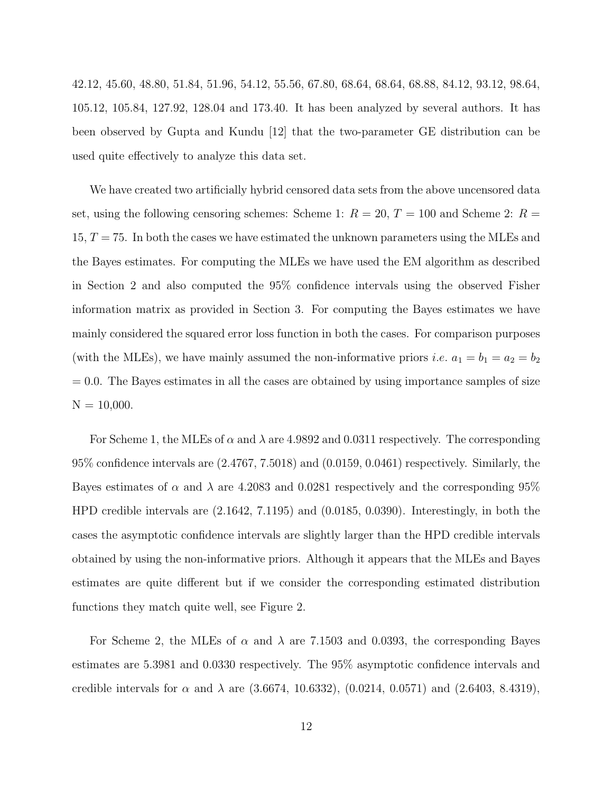42.12, 45.60, 48.80, 51.84, 51.96, 54.12, 55.56, 67.80, 68.64, 68.64, 68.88, 84.12, 93.12, 98.64, 105.12, 105.84, 127.92, 128.04 and 173.40. It has been analyzed by several authors. It has been observed by Gupta and Kundu [12] that the two-parameter GE distribution can be used quite effectively to analyze this data set.

We have created two artificially hybrid censored data sets from the above uncensored data set, using the following censoring schemes: Scheme 1:  $R = 20, T = 100$  and Scheme 2:  $R =$  $15, T = 75$ . In both the cases we have estimated the unknown parameters using the MLEs and the Bayes estimates. For computing the MLEs we have used the EM algorithm as described in Section 2 and also computed the 95% confidence intervals using the observed Fisher information matrix as provided in Section 3. For computing the Bayes estimates we have mainly considered the squared error loss function in both the cases. For comparison purposes (with the MLEs), we have mainly assumed the non-informative priors *i.e.*  $a_1 = b_1 = a_2 = b_2$  $= 0.0$ . The Bayes estimates in all the cases are obtained by using importance samples of size  $N = 10,000$ .

For Scheme 1, the MLEs of  $\alpha$  and  $\lambda$  are 4.9892 and 0.0311 respectively. The corresponding 95% confidence intervals are (2.4767, 7.5018) and (0.0159, 0.0461) respectively. Similarly, the Bayes estimates of  $\alpha$  and  $\lambda$  are 4.2083 and 0.0281 respectively and the corresponding 95% HPD credible intervals are (2.1642, 7.1195) and (0.0185, 0.0390). Interestingly, in both the cases the asymptotic confidence intervals are slightly larger than the HPD credible intervals obtained by using the non-informative priors. Although it appears that the MLEs and Bayes estimates are quite different but if we consider the corresponding estimated distribution functions they match quite well, see Figure 2.

For Scheme 2, the MLEs of  $\alpha$  and  $\lambda$  are 7.1503 and 0.0393, the corresponding Bayes estimates are 5.3981 and 0.0330 respectively. The 95% asymptotic confidence intervals and credible intervals for  $\alpha$  and  $\lambda$  are (3.6674, 10.6332), (0.0214, 0.0571) and (2.6403, 8.4319),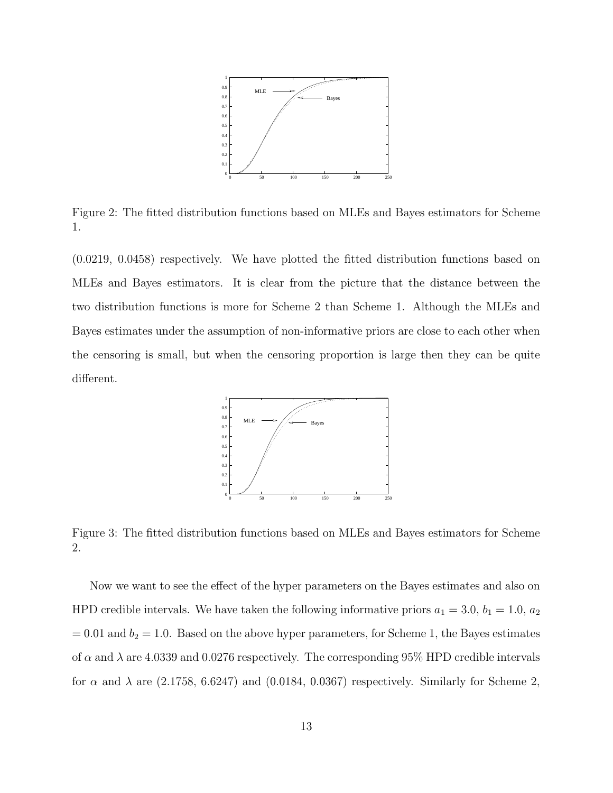

Figure 2: The fitted distribution functions based on MLEs and Bayes estimators for Scheme 1.

(0.0219, 0.0458) respectively. We have plotted the fitted distribution functions based on MLEs and Bayes estimators. It is clear from the picture that the distance between the two distribution functions is more for Scheme 2 than Scheme 1. Although the MLEs and Bayes estimates under the assumption of non-informative priors are close to each other when the censoring is small, but when the censoring proportion is large then they can be quite different.



Figure 3: The fitted distribution functions based on MLEs and Bayes estimators for Scheme 2.

Now we want to see the effect of the hyper parameters on the Bayes estimates and also on HPD credible intervals. We have taken the following informative priors  $a_1 = 3.0, b_1 = 1.0, a_2$  $= 0.01$  and  $b<sub>2</sub> = 1.0$ . Based on the above hyper parameters, for Scheme 1, the Bayes estimates of  $\alpha$  and  $\lambda$  are 4.0339 and 0.0276 respectively. The corresponding 95% HPD credible intervals for  $\alpha$  and  $\lambda$  are (2.1758, 6.6247) and (0.0184, 0.0367) respectively. Similarly for Scheme 2,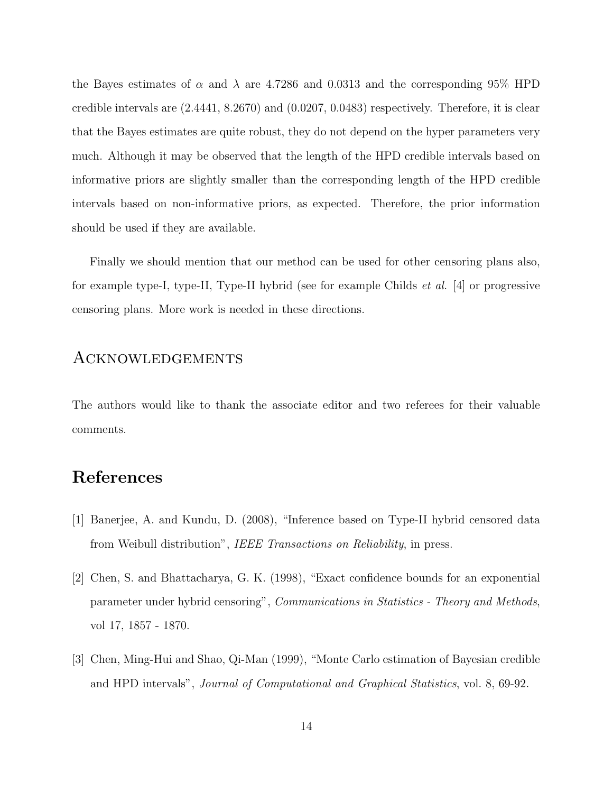the Bayes estimates of  $\alpha$  and  $\lambda$  are 4.7286 and 0.0313 and the corresponding 95% HPD credible intervals are (2.4441, 8.2670) and (0.0207, 0.0483) respectively. Therefore, it is clear that the Bayes estimates are quite robust, they do not depend on the hyper parameters very much. Although it may be observed that the length of the HPD credible intervals based on informative priors are slightly smaller than the corresponding length of the HPD credible intervals based on non-informative priors, as expected. Therefore, the prior information should be used if they are available.

Finally we should mention that our method can be used for other censoring plans also, for example type-I, type-II, Type-II hybrid (see for example Childs et al. [4] or progressive censoring plans. More work is needed in these directions.

#### Acknowledgements

The authors would like to thank the associate editor and two referees for their valuable comments.

#### References

- [1] Banerjee, A. and Kundu, D. (2008), "Inference based on Type-II hybrid censored data from Weibull distribution", IEEE Transactions on Reliability, in press.
- [2] Chen, S. and Bhattacharya, G. K. (1998), "Exact confidence bounds for an exponential parameter under hybrid censoring", Communications in Statistics - Theory and Methods, vol 17, 1857 - 1870.
- [3] Chen, Ming-Hui and Shao, Qi-Man (1999), "Monte Carlo estimation of Bayesian credible and HPD intervals", Journal of Computational and Graphical Statistics, vol. 8, 69-92.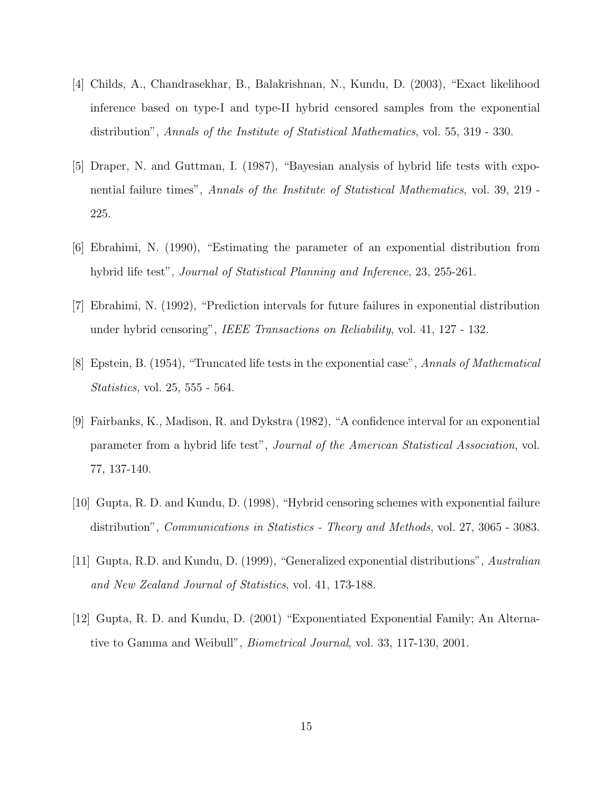- [4] Childs, A., Chandrasekhar, B., Balakrishnan, N., Kundu, D. (2003), "Exact likelihood inference based on type-I and type-II hybrid censored samples from the exponential distribution", Annals of the Institute of Statistical Mathematics, vol. 55, 319 - 330.
- [5] Draper, N. and Guttman, I. (1987), "Bayesian analysis of hybrid life tests with exponential failure times", Annals of the Institute of Statistical Mathematics, vol. 39, 219 - 225.
- [6] Ebrahimi, N. (1990), "Estimating the parameter of an exponential distribution from hybrid life test", *Journal of Statistical Planning and Inference*, 23, 255-261.
- [7] Ebrahimi, N. (1992), "Prediction intervals for future failures in exponential distribution under hybrid censoring", IEEE Transactions on Reliability, vol. 41, 127 - 132.
- [8] Epstein, B. (1954), "Truncated life tests in the exponential case", Annals of Mathematical Statistics, vol. 25, 555 - 564.
- [9] Fairbanks, K., Madison, R. and Dykstra (1982), "A confidence interval for an exponential parameter from a hybrid life test", Journal of the American Statistical Association, vol. 77, 137-140.
- [10] Gupta, R. D. and Kundu, D. (1998), "Hybrid censoring schemes with exponential failure distribution", *Communications in Statistics - Theory and Methods*, vol. 27, 3065 - 3083.
- [11] Gupta, R.D. and Kundu, D. (1999), "Generalized exponential distributions", Australian and New Zealand Journal of Statistics, vol. 41, 173-188.
- [12] Gupta, R. D. and Kundu, D. (2001) "Exponentiated Exponential Family; An Alternative to Gamma and Weibull", Biometrical Journal, vol. 33, 117-130, 2001.